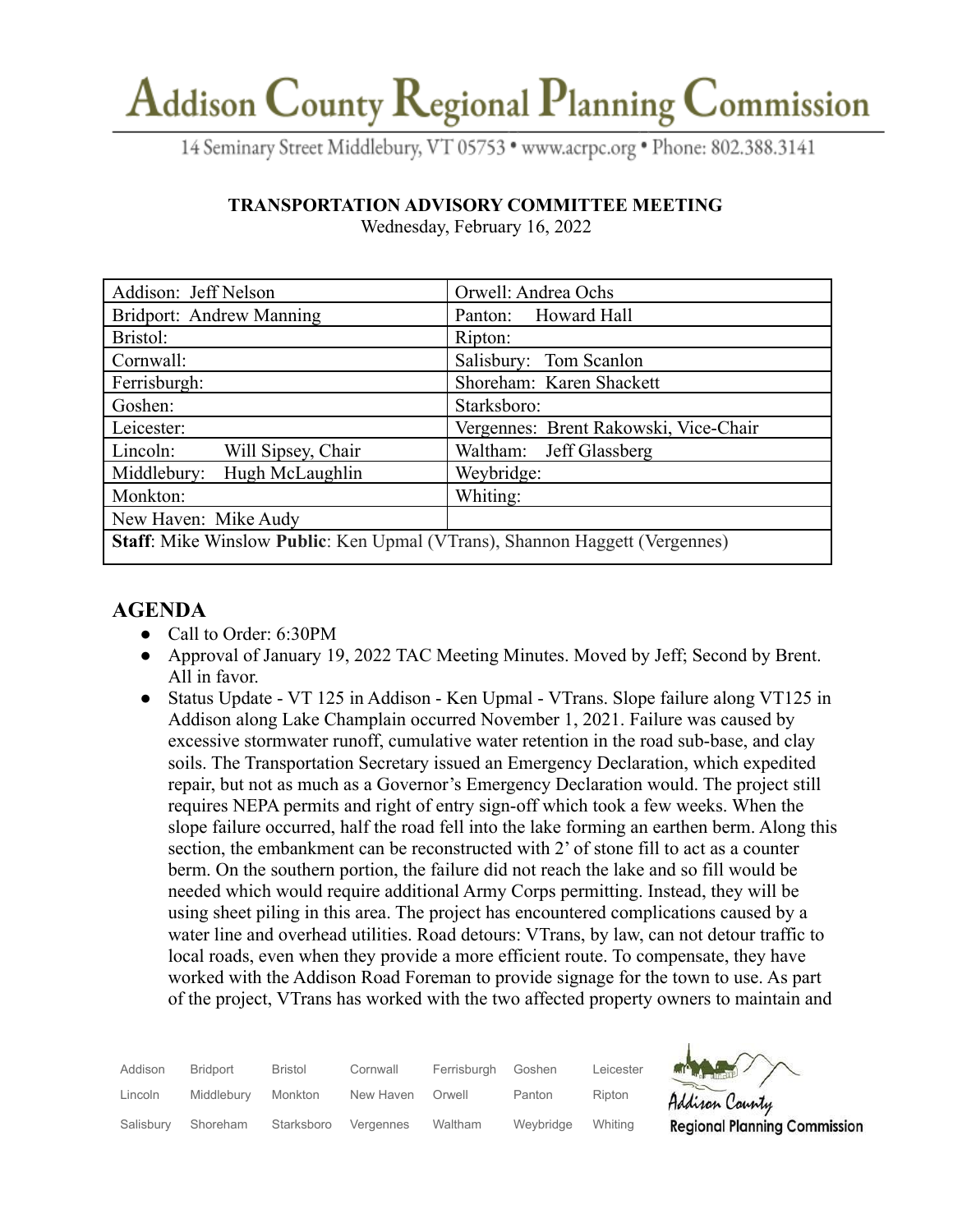# Addison County Regional Planning Commission

14 Seminary Street Middlebury, VT 05753 · www.acrpc.org · Phone: 802.388.3141

### **TRANSPORTATION ADVISORY COMMITTEE MEETING**

| Addison: Jeff Nelson                                                        | Orwell: Andrea Ochs                   |  |  |  |
|-----------------------------------------------------------------------------|---------------------------------------|--|--|--|
| Bridport: Andrew Manning                                                    | Panton: Howard Hall                   |  |  |  |
| Bristol:                                                                    | Ripton:                               |  |  |  |
| Cornwall:                                                                   | Salisbury: Tom Scanlon                |  |  |  |
| Ferrisburgh:                                                                | Shoreham: Karen Shackett              |  |  |  |
| Goshen:                                                                     | Starksboro:                           |  |  |  |
| Leicester:                                                                  | Vergennes: Brent Rakowski, Vice-Chair |  |  |  |
| Will Sipsey, Chair<br>Lincoln:                                              | Waltham: Jeff Glassberg               |  |  |  |
| Hugh McLaughlin<br>Middlebury:                                              | Weybridge:                            |  |  |  |
| Monkton:                                                                    | Whiting:                              |  |  |  |
| New Haven: Mike Audy                                                        |                                       |  |  |  |
| Staff: Mike Winslow Public: Ken Upmal (VTrans), Shannon Haggett (Vergennes) |                                       |  |  |  |

Wednesday, February 16, 2022

## **AGENDA**

- Call to Order: 6:30PM
- Approval of January 19, 2022 TAC Meeting Minutes. Moved by Jeff; Second by Brent. All in favor.
- Status Update VT 125 in Addison Ken Upmal VTrans. Slope failure along VT125 in Addison along Lake Champlain occurred November 1, 2021. Failure was caused by excessive stormwater runoff, cumulative water retention in the road sub-base, and clay soils. The Transportation Secretary issued an Emergency Declaration, which expedited repair, but not as much as a Governor's Emergency Declaration would. The project still requires NEPA permits and right of entry sign-off which took a few weeks. When the slope failure occurred, half the road fell into the lake forming an earthen berm. Along this section, the embankment can be reconstructed with 2' of stone fill to act as a counter berm. On the southern portion, the failure did not reach the lake and so fill would be needed which would require additional Army Corps permitting. Instead, they will be using sheet piling in this area. The project has encountered complications caused by a water line and overhead utilities. Road detours: VTrans, by law, can not detour traffic to local roads, even when they provide a more efficient route. To compensate, they have worked with the Addison Road Foreman to provide signage for the town to use. As part of the project, VTrans has worked with the two affected property owners to maintain and

| Addison   | Bridport   | Bristol    | Cornwall  | Ferrisburgh | Goshen    | Leicester |
|-----------|------------|------------|-----------|-------------|-----------|-----------|
| Lincoln   | Middlebury | Monkton    | New Haven | Orwell      | Panton    | Ripton    |
| Salisbury | Shoreham   | Starksboro | Vergennes | Waltham     | Weybridge | Whiting   |



Addison County **Regional Planning Commission**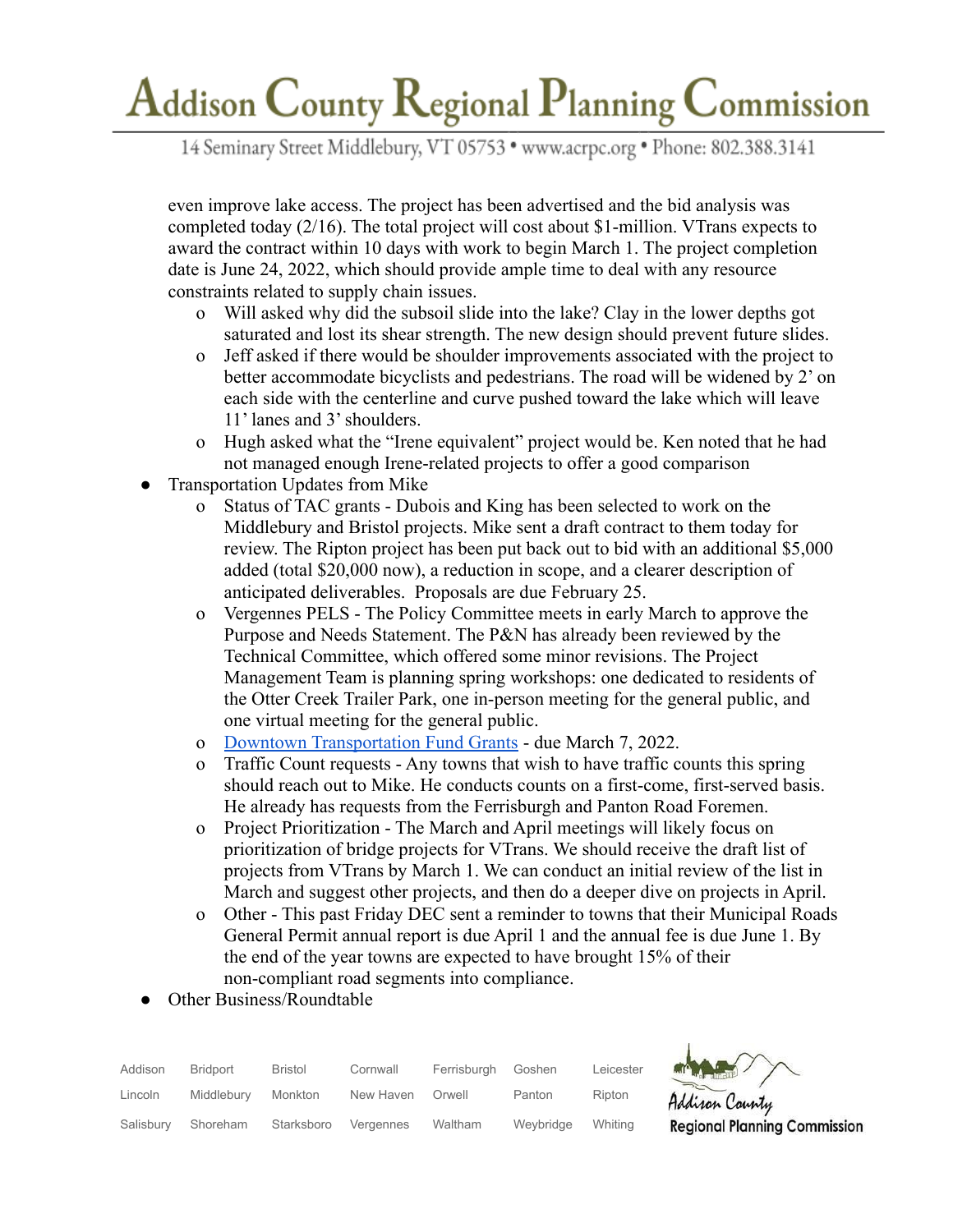# Addison County Regional Planning Commission

14 Seminary Street Middlebury, VT 05753 · www.acrpc.org · Phone: 802.388.3141

even improve lake access. The project has been advertised and the bid analysis was completed today (2/16). The total project will cost about \$1-million. VTrans expects to award the contract within 10 days with work to begin March 1. The project completion date is June 24, 2022, which should provide ample time to deal with any resource constraints related to supply chain issues.

- o Will asked why did the subsoil slide into the lake? Clay in the lower depths got saturated and lost its shear strength. The new design should prevent future slides.
- o Jeff asked if there would be shoulder improvements associated with the project to better accommodate bicyclists and pedestrians. The road will be widened by 2' on each side with the centerline and curve pushed toward the lake which will leave 11' lanes and 3' shoulders.
- o Hugh asked what the "Irene equivalent" project would be. Ken noted that he had not managed enough Irene-related projects to offer a good comparison
- Transportation Updates from Mike
	- o Status of TAC grants Dubois and King has been selected to work on the Middlebury and Bristol projects. Mike sent a draft contract to them today for review. The Ripton project has been put back out to bid with an additional \$5,000 added (total \$20,000 now), a reduction in scope, and a clearer description of anticipated deliverables. Proposals are due February 25.
	- o Vergennes PELS The Policy Committee meets in early March to approve the Purpose and Needs Statement. The P&N has already been reviewed by the Technical Committee, which offered some minor revisions. The Project Management Team is planning spring workshops: one dedicated to residents of the Otter Creek Trailer Park, one in-person meeting for the general public, and one virtual meeting for the general public.
	- o [Downtown Transportation Fund Grants](https://accd.vermont.gov/community-development/funding-incentives/downtown-transportation-fund) due March 7, 2022.
	- o Traffic Count requests Any towns that wish to have traffic counts this spring should reach out to Mike. He conducts counts on a first-come, first-served basis. He already has requests from the Ferrisburgh and Panton Road Foremen.
	- o Project Prioritization The March and April meetings will likely focus on prioritization of bridge projects for VTrans. We should receive the draft list of projects from VTrans by March 1. We can conduct an initial review of the list in March and suggest other projects, and then do a deeper dive on projects in April.
	- o Other This past Friday DEC sent a reminder to towns that their Municipal Roads General Permit annual report is due April 1 and the annual fee is due June 1. By the end of the year towns are expected to have brought 15% of their non-compliant road segments into compliance.
- Other Business/Roundtable

| Addison   | Bridport   | <b>Bristol</b> | Cornwall  | Ferrisburah | Goshen    | Leicester |
|-----------|------------|----------------|-----------|-------------|-----------|-----------|
| Lincoln   | Middlebury | Monkton        | New Haven | Orwell      | Panton    | Ripton    |
| Salisbury | Shoreham   | Starksboro     | Vergennes | Waltham     | Wevbridge | Whitina   |



Addison County **Regional Planning Commission**